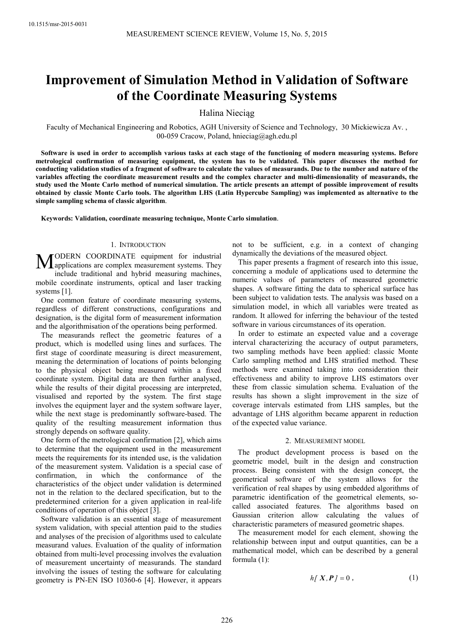# **Improvement of Simulation Method in Validation of Software of the Coordinate Measuring Systems**

Halina Nieciąg

Faculty of Mechanical Engineering and Robotics, AGH University of Science and Technology, 30 Mickiewicza Av. , 00-059 Cracow, Poland, hnieciag@agh.edu.pl

**Software is used in order to accomplish various tasks at each stage of the functioning of modern measuring systems. Before metrological confirmation of measuring equipment, the system has to be validated. This paper discusses the method for conducting validation studies of a fragment of software to calculate the values of measurands. Due to the number and nature of the variables affecting the coordinate measurement results and the complex character and multi-dimensionality of measurands, the study used the Monte Carlo method of numerical simulation. The article presents an attempt of possible improvement of results obtained by classic Monte Carlo tools. The algorithm LHS (Latin Hypercube Sampling) was implemented as alternative to the simple sampling schema of classic algorithm**.

**Keywords: Validation, coordinate measuring technique, Monte Carlo simulation**.

# 1. INTRODUCTION

ODERN COORDINATE equipment for industrial **MODERN COORDINATE** equipment for industrial applications are complex measurement systems. They include traditional and behead measuring meablised include traditional and hybrid measuring machines, mobile coordinate instruments, optical and laser tracking systems [1].

One common feature of coordinate measuring systems, regardless of different constructions, configurations and designation, is the digital form of measurement information and the algorithmisation of the operations being performed.

The measurands reflect the geometric features of a product, which is modelled using lines and surfaces. The first stage of coordinate measuring is direct measurement, meaning the determination of locations of points belonging to the physical object being measured within a fixed coordinate system. Digital data are then further analysed, while the results of their digital processing are interpreted, visualised and reported by the system. The first stage involves the equipment layer and the system software layer, while the next stage is predominantly software-based. The quality of the resulting measurement information thus strongly depends on software quality.

One form of the metrological confirmation [2], which aims to determine that the equipment used in the measurement meets the requirements for its intended use, is the validation of the measurement system. Validation is a special case of confirmation, in which the conformance of the characteristics of the object under validation is determined not in the relation to the declared specification, but to the predetermined criterion for a given application in real-life conditions of operation of this object [3].

Software validation is an essential stage of measurement system validation, with special attention paid to the studies and analyses of the precision of algorithms used to calculate measurand values. Evaluation of the quality of information obtained from multi-level processing involves the evaluation of measurement uncertainty of measurands. The standard involving the issues of testing the software for calculating geometry is PN-EN ISO 10360-6 [4]. However, it appears

not to be sufficient, e.g. in a context of changing dynamically the deviations of the measured object.

This paper presents a fragment of research into this issue, concerning a module of applications used to determine the numeric values of parameters of measured geometric shapes. A software fitting the data to spherical surface has been subject to validation tests. The analysis was based on a simulation model, in which all variables were treated as random. It allowed for inferring the behaviour of the tested software in various circumstances of its operation.

In order to estimate an expected value and a coverage interval characterizing the accuracy of output parameters, two sampling methods have been applied: classic Monte Carlo sampling method and LHS stratified method. These methods were examined taking into consideration their effectiveness and ability to improve LHS estimators over these from classic simulation schema. Evaluation of the results has shown a slight improvement in the size of coverage intervals estimated from LHS samples, but the advantage of LHS algorithm became apparent in reduction of the expected value variance.

#### 2. MEASUREMENT MODEL

The product development process is based on the geometric model, built in the design and construction process. Being consistent with the design concept, the geometrical software of the system allows for the verification of real shapes by using embedded algorithms of parametric identification of the geometrical elements, socalled associated features. The algorithms based on Gaussian criterion allow calculating the values of characteristic parameters of measured geometric shapes.

The measurement model for each element, showing the relationship between input and output quantities, can be a mathematical model, which can be described by a general formula (1):

$$
h[X, P] = 0 \tag{1}
$$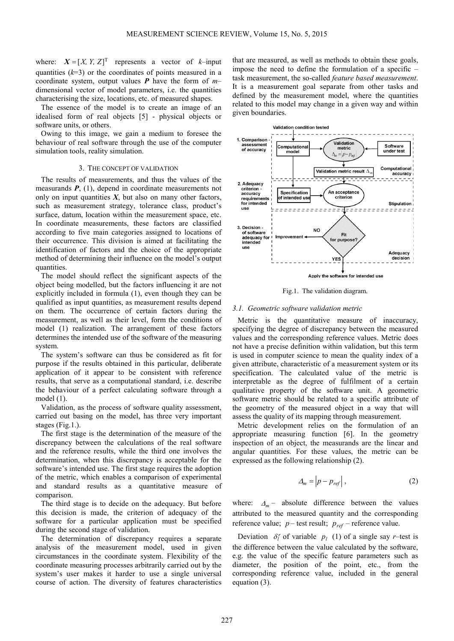where:  $X = [X, Y, Z]^T$  represents a vector of *k*-input quantities  $(k=3)$  or the coordinates of points measured in a coordinate system, output values *P* have the form of *m–* dimensional vector of model parameters, i.e. the quantities characterising the size, locations, etc. of measured shapes.

The essence of the model is to create an image of an idealised form of real objects [5] - physical objects or software units, or others.

Owing to this image, we gain a medium to foresee the behaviour of real software through the use of the computer simulation tools, reality simulation.

### 3. THE CONCEPT OF VALIDATION

The results of measurements, and thus the values of the measurands *P*, (1), depend in coordinate measurements not only on input quantities  $X$ , but also on many other factors, such as measurement strategy, tolerance class, product's surface, datum, location within the measurement space, etc. In coordinate measurements, these factors are classified according to five main categories assigned to locations of their occurrence. This division is aimed at facilitating the identification of factors and the choice of the appropriate method of determining their influence on the model's output quantities.

The model should reflect the significant aspects of the object being modelled, but the factors influencing it are not explicitly included in formula (1), even though they can be qualified as input quantities, as measurement results depend on them. The occurrence of certain factors during the measurement, as well as their level, form the conditions of model (1) realization. The arrangement of these factors determines the intended use of the software of the measuring system.

The system's software can thus be considered as fit for purpose if the results obtained in this particular, deliberate application of it appear to be consistent with reference results, that serve as a computational standard, i.e. describe the behaviour of a perfect calculating software through a model (1).

Validation, as the process of software quality assessment, carried out basing on the model, has three very important stages (Fig.1.).

The first stage is the determination of the measure of the discrepancy between the calculations of the real software and the reference results, while the third one involves the determination, when this discrepancy is acceptable for the software's intended use. The first stage requires the adoption of the metric, which enables a comparison of experimental and standard results as a quantitative measure of comparison.

The third stage is to decide on the adequacy. But before this decision is made, the criterion of adequacy of the software for a particular application must be specified during the second stage of validation.

The determination of discrepancy requires a separate analysis of the measurement model, used in given circumstances in the coordinate system. Flexibility of the coordinate measuring processes arbitrarily carried out by the system's user makes it harder to use a single universal course of action. The diversity of features characteristics

that are measured, as well as methods to obtain these goals, impose the need to define the formulation of a specific – task measurement, the so-called *feature based measurement*. It is a measurement goal separate from other tasks and defined by the measurement model, where the quantities related to this model may change in a given way and within given boundaries.



Fig.1. The validation diagram.

#### *3.1. Geometric software validation metric*

Metric is the quantitative measure of inaccuracy, specifying the degree of discrepancy between the measured values and the corresponding reference values. Metric does not have a precise definition within validation, but this term is used in computer science to mean the quality index of a given attribute, characteristic of a measurement system or its specification. The calculated value of the metric is interpretable as the degree of fulfilment of a certain qualitative property of the software unit. A geometric software metric should be related to a specific attribute of the geometry of the measured object in a way that will assess the quality of its mapping through measurement.

Metric development relies on the formulation of an appropriate measuring function [6]. In the geometry inspection of an object, the measurands are the linear and angular quantities. For these values, the metric can be expressed as the following relationship (2).

$$
\Delta_m = \left| p - p_{ref} \right|,\tag{2}
$$

where:  $\Delta_m$  – absolute difference between the values attributed to the measured quantity and the corresponding reference value;  $p$  – test result;  $p_{ref}$  – reference value.

Deviation  $\delta_l^r$  of variable  $p_l$  (1) of a single say *r*–test is the difference between the value calculated by the software, e.g. the value of the specific feature parameters such as diameter, the position of the point, etc., from the corresponding reference value, included in the general equation (3).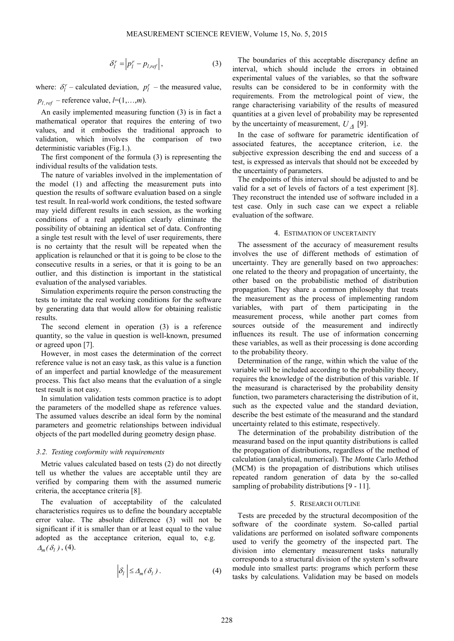$$
\delta_l^r = \left| p_l^r - p_{l,ref} \right|,\tag{3}
$$

where:  $\delta_l^r$  – calculated deviation,  $p_l^r$  – the measured value,

 $p_{l,ref}$  – reference value,  $l=(1,...,m)$ .

An easily implemented measuring function (3) is in fact a mathematical operator that requires the entering of two values, and it embodies the traditional approach to validation, which involves the comparison of two deterministic variables (Fig.1.).

The first component of the formula (3) is representing the individual results of the validation tests.

The nature of variables involved in the implementation of the model (1) and affecting the measurement puts into question the results of software evaluation based on a single test result. In real-world work conditions, the tested software may yield different results in each session, as the working conditions of a real application clearly eliminate the possibility of obtaining an identical set of data. Confronting a single test result with the level of user requirements, there is no certainty that the result will be repeated when the application is relaunched or that it is going to be close to the consecutive results in a series, or that it is going to be an outlier, and this distinction is important in the statistical evaluation of the analysed variables.

Simulation experiments require the person constructing the tests to imitate the real working conditions for the software by generating data that would allow for obtaining realistic results.

The second element in operation (3) is a reference quantity, so the value in question is well-known, presumed or agreed upon [7].

However, in most cases the determination of the correct reference value is not an easy task, as this value is a function of an imperfect and partial knowledge of the measurement process. This fact also means that the evaluation of a single test result is not easy.

In simulation validation tests common practice is to adopt the parameters of the modelled shape as reference values. The assumed values describe an ideal form by the nominal parameters and geometric relationships between individual objects of the part modelled during geometry design phase.

## *3.2. Testing conformity with requirements*

Metric values calculated based on tests (2) do not directly tell us whether the values are acceptable until they are verified by comparing them with the assumed numeric criteria, the acceptance criteria [8].

The evaluation of acceptability of the calculated characteristics requires us to define the boundary acceptable error value. The absolute difference (3) will not be significant if it is smaller than or at least equal to the value adopted as the acceptance criterion, equal to, e.g.  $\Delta_m(\delta_l)$ , (4).

$$
\left|\delta_l\right| \leq \Delta_m(\delta_l). \tag{4}
$$

The boundaries of this acceptable discrepancy define an interval, which should include the errors in obtained experimental values of the variables, so that the software results can be considered to be in conformity with the requirements. From the metrological point of view, the range characterising variability of the results of measured quantities at a given level of probability may be represented by the uncertainty of measurement,  $U_A$  [9].

In the case of software for parametric identification of associated features, the acceptance criterion, i.e. the subjective expression describing the end and success of a test, is expressed as intervals that should not be exceeded by the uncertainty of parameters.

The endpoints of this interval should be adjusted to and be valid for a set of levels of factors of a test experiment [8]. They reconstruct the intended use of software included in a test case. Only in such case can we expect a reliable evaluation of the software.

# 4. ESTIMATION OF UNCERTAINTY

The assessment of the accuracy of measurement results involves the use of different methods of estimation of uncertainty. They are generally based on two approaches: one related to the theory and propagation of uncertainty, the other based on the probabilistic method of distribution propagation. They share a common philosophy that treats the measurement as the process of implementing random variables, with part of them participating in the measurement process, while another part comes from sources outside of the measurement and indirectly influences its result. The use of information concerning these variables, as well as their processing is done according to the probability theory.

Determination of the range, within which the value of the variable will be included according to the probability theory, requires the knowledge of the distribution of this variable. If the measurand is characterised by the probability density function, two parameters characterising the distribution of it, such as the expected value and the standard deviation, describe the best estimate of the measurand and the standard uncertainty related to this estimate, respectively.

The determination of the probability distribution of the measurand based on the input quantity distributions is called the propagation of distributions, regardless of the method of calculation (analytical, numerical). The *M*onte *C*arlo *M*ethod (MCM) is the propagation of distributions which utilises repeated random generation of data by the so-called sampling of probability distributions [9 - 11].

# 5. RESEARCH OUTLINE

Tests are preceded by the structural decomposition of the software of the coordinate system. So-called partial validations are performed on isolated software components used to verify the geometry of the inspected part. The division into elementary measurement tasks naturally corresponds to a structural division of the system's software module into smallest parts: programs which perform these tasks by calculations. Validation may be based on models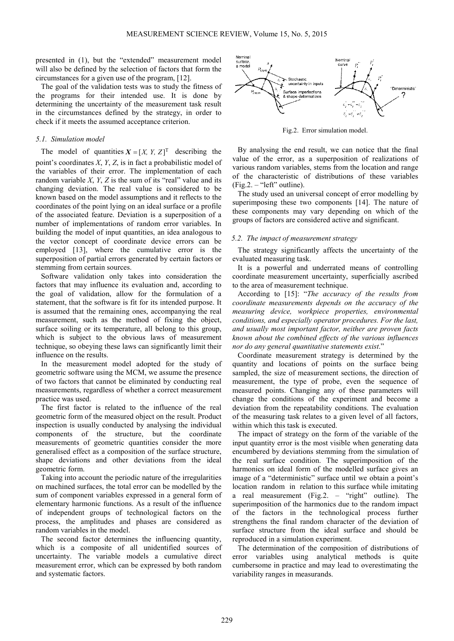presented in (1), but the "extended" measurement model will also be defined by the selection of factors that form the circumstances for a given use of the program, [12].

The goal of the validation tests was to study the fitness of the programs for their intended use. It is done by determining the uncertainty of the measurement task result in the circumstances defined by the strategy, in order to check if it meets the assumed acceptance criterion.

## *5.1. Simulation model*

The model of quantities  $X = [X, Y, Z]^T$  describing the point's coordinates *X*, *Y*, *Z*, is in fact a probabilistic model of the variables of their error. The implementation of each random variable  $X$ ,  $Y$ ,  $Z$  is the sum of its "real" value and its changing deviation. The real value is considered to be known based on the model assumptions and it reflects to the coordinates of the point lying on an ideal surface or a profile of the associated feature. Deviation is a superposition of a number of implementations of random error variables. In building the model of input quantities, an idea analogous to the vector concept of coordinate device errors can be employed [13], where the cumulative error is the superposition of partial errors generated by certain factors or stemming from certain sources.

Software validation only takes into consideration the factors that may influence its evaluation and, according to the goal of validation, allow for the formulation of a statement, that the software is fit for its intended purpose. It is assumed that the remaining ones, accompanying the real measurement, such as the method of fixing the object, surface soiling or its temperature, all belong to this group, which is subject to the obvious laws of measurement technique, so obeying these laws can significantly limit their influence on the results.

In the measurement model adopted for the study of geometric software using the MCM, we assume the presence of two factors that cannot be eliminated by conducting real measurements, regardless of whether a correct measurement practice was used.

The first factor is related to the influence of the real geometric form of the measured object on the result. Product inspection is usually conducted by analysing the individual components of the structure, but the coordinate measurements of geometric quantities consider the more generalised effect as a composition of the surface structure, shape deviations and other deviations from the ideal geometric form.

Taking into account the periodic nature of the irregularities on machined surfaces, the total error can be modelled by the sum of component variables expressed in a general form of elementary harmonic functions. As a result of the influence of independent groups of technological factors on the process, the amplitudes and phases are considered as random variables in the model.

The second factor determines the influencing quantity, which is a composite of all unidentified sources of uncertainty. The variable models a cumulative direct measurement error, which can be expressed by both random and systematic factors.



Fig.2. Error simulation model.

By analysing the end result, we can notice that the final value of the error, as a superposition of realizations of various random variables, stems from the location and range of the characteristic of distributions of these variables  $(Fig.2. - "left" outline).$ 

The study used an universal concept of error modelling by superimposing these two components [14]. The nature of these components may vary depending on which of the groups of factors are considered active and significant.

## *5.2. The impact of measurement strategy*

The strategy significantly affects the uncertainty of the evaluated measuring task.

It is a powerful and underrated means of controlling coordinate measurement uncertainty, superficially ascribed to the area of measurement technique.

According to [15]: "*The accuracy of the results from coordinate measurements depends on the accuracy of the measuring device, workpiece properties, environmental conditions, and especially operator procedures. For the last, and usually most important factor, neither are proven facts known about the combined effects of the various influences nor do any general quantitative statements exist*."

Coordinate measurement strategy is determined by the quantity and locations of points on the surface being sampled, the size of measurement sections, the direction of measurement, the type of probe, even the sequence of measured points. Changing any of these parameters will change the conditions of the experiment and become a deviation from the repeatability conditions. The evaluation of the measuring task relates to a given level of all factors, within which this task is executed.

The impact of strategy on the form of the variable of the input quantity error is the most visible when generating data encumbered by deviations stemming from the simulation of the real surface condition. The superimposition of the harmonics on ideal form of the modelled surface gives an image of a "deterministic" surface until we obtain a point's location random in relation to this surface while imitating a real measurement (Fig.2. – "right" outline). The superimposition of the harmonics due to the random impact of the factors in the technological process further strengthens the final random character of the deviation of surface structure from the ideal surface and should be reproduced in a simulation experiment.

The determination of the composition of distributions of error variables using analytical methods is quite cumbersome in practice and may lead to overestimating the variability ranges in measurands.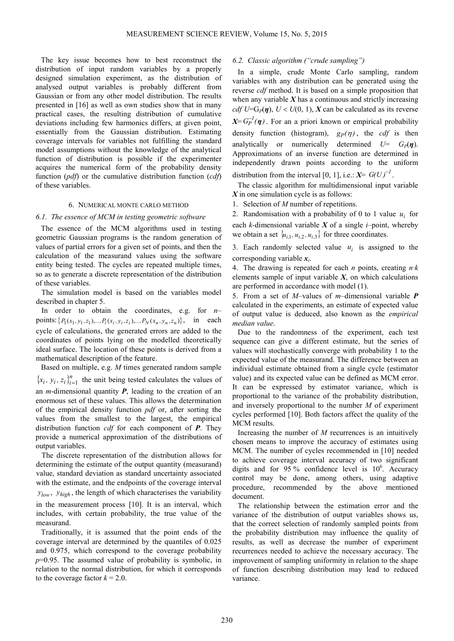The key issue becomes how to best reconstruct the distribution of input random variables by a properly designed simulation experiment, as the distribution of analysed output variables is probably different from Gaussian or from any other model distribution. The results presented in [16] as well as own studies show that in many practical cases, the resulting distribution of cumulative deviations including few harmonics differs, at given point, essentially from the Gaussian distribution. Estimating coverage intervals for variables not fulfilling the standard model assumptions without the knowledge of the analytical function of distribution is possible if the experimenter acquires the numerical form of the probability density function (*pdf*) or the cumulative distribution function (*cdf*) of these variables.

# 6. NUMERICAL MONTE CARLO METHOD

## *6.1. The essence of MCM in testing geometric software*

The essence of the MCM algorithms used in testing geometric Gaussian programs is the random generation of values of partial errors for a given set of points, and then the calculation of the measurand values using the software entity being tested. The cycles are repeated multiple times, so as to generate a discrete representation of the distribution of these variables.

The simulation model is based on the variables model described in chapter 5.

In order to obtain the coordinates, e.g. for *n*– points:  $\{P_1(x_1, y_1, z_1),..., P_i(x_i, y_i, z_i),..., P_N(x_n, y_n, z_n)\},$  in each cycle of calculations, the generated errors are added to the coordinates of points lying on the modelled theoretically ideal surface. The location of these points is derived from a mathematical description of the feature.

Based on multiple, e.g. *M* times generated random sample  ${x_i, y_i, z_i}_{i=1}^n$  the unit being tested calculates the values of an *m*-dimensional quantity *P*, leading to the creation of an enormous set of these values. This allows the determination of the empirical density function *pdf* or, after sorting the values from the smallest to the largest, the empirical distribution function *cdf* for each component of *P*. They provide a numerical approximation of the distributions of output variables.

The discrete representation of the distribution allows for determining the estimate of the output quantity (measurand) value, standard deviation as standard uncertainty associated with the estimate, and the endpoints of the coverage interval  $y_{low}$ ,  $y_{high}$ , the length of which characterises the variability in the measurement process [10]. It is an interval, which includes, with certain probability, the true value of the measurand.

Traditionally, it is assumed that the point ends of the coverage interval are determined by the quantiles of 0.025 and 0.975, which correspond to the coverage probability *p*=0.95. The assumed value of probability is symbolic, in relation to the normal distribution, for which it corresponds to the coverage factor  $k = 2.0$ .

## *6.2. Classic algorithm ("crude sampling")*

In a simple, crude Monte Carlo sampling, random variables with any distribution can be generated using the reverse *cdf* method. It is based on a simple proposition that when any variable  $X$  has a continuous and strictly increasing *cdf*  $U = G_P(\eta)$ ,  $U < U(0, 1)$ ,  $X$  can be calculated as its reverse  $X = G_P^{-1}(\eta)$ . For an a priori known or empirical probability density function (histogram),  $g_P(\eta)$ , the *cdf* is then analytically or numerically determined  $U= G_P(\eta)$ . Approximations of an inverse function are determined in independently drawn points according to the uniform distribution from the interval [0, 1], i.e.:  $X = G(U)^{-1}$ .

The classic algorithm for multidimensional input variable *X* in one simulation cycle is as follows:

1. Selection of *M* number of repetitions.

2. Randomisation with a probability of 0 to 1 value  $u_i$  for each *k-*dimensional variable *X* of a single *i–*point, whereby we obtain a set  $\{u_{i,1}, u_{i,2}, u_{i,3}\}$  for three coordinates.

3. Each randomly selected value  $u_i$  is assigned to the corresponding variable *x<sup>i</sup>* .

4. The drawing is repeated for each *n* points, creating *n·k*  elements sample of input variable  $X$ , on which calculations are performed in accordance with model (1).

5. From a set of *M–*values of *m–*dimensional variable *P* calculated in the experiments, an estimate of expected value of output value is deduced, also known as the *empirical median value*.

Due to the randomness of the experiment, each test sequence can give a different estimate, but the series of values will stochastically converge with probability 1 to the expected value of the measurand. The difference between an individual estimate obtained from a single cycle (estimator value) and its expected value can be defined as MCM error. It can be expressed by estimator variance, which is proportional to the variance of the probability distribution, and inversely proportional to the number *M* of experiment cycles performed [10]. Both factors affect the quality of the MCM results.

Increasing the number of *M* recurrences is an intuitively chosen means to improve the accuracy of estimates using MCM. The number of cycles recommended in [10] needed to achieve coverage interval accuracy of two significant digits and for 95% confidence level is  $10^6$ . Accuracy control may be done, among others, using adaptive procedure, recommended by the above mentioned document.

The relationship between the estimation error and the variance of the distribution of output variables shows us, that the correct selection of randomly sampled points from the probability distribution may influence the quality of results, as well as decrease the number of experiment recurrences needed to achieve the necessary accuracy. The improvement of sampling uniformity in relation to the shape of function describing distribution may lead to reduced variance.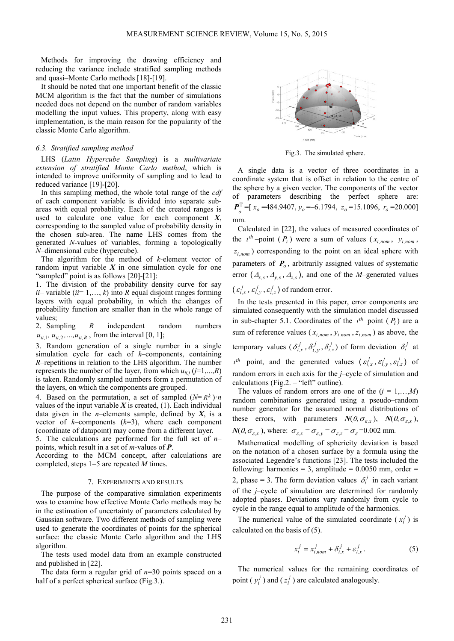Methods for improving the drawing efficiency and reducing the variance include stratified sampling methods and quasi–Monte Carlo methods [18]-[19].

It should be noted that one important benefit of the classic MCM algorithm is the fact that the number of simulations needed does not depend on the number of random variables modelling the input values. This property, along with easy implementation, is the main reason for the popularity of the classic Monte Carlo algorithm.

## *6.3. Stratified sampling method*

LHS (*Latin Hypercube Sampling*) is a *multivariate extension of stratified Monte Carlo method*, which is intended to improve uniformity of sampling and to lead to reduced variance [19]-[20].

In this sampling method, the whole total range of the *cdf* of each component variable is divided into separate subareas with equal probability. Each of the created ranges is used to calculate one value for each component *X*, corresponding to the sampled value of probability density in the chosen sub-area. The name LHS comes from the generated *N*-values of variables, forming a topologically *N*–dimensional cube (hypercube).

The algorithm for the method of *k-*element vector of random input variable  $X$  in one simulation cycle for one "sampled" point is as follows [20]-[21]:

1. The division of the probability density curve for say  $ii$ – variable ( $ii$ = 1,...,  $k$ ) into  $R$  equal disjoint ranges forming layers with equal probability, in which the changes of probability function are smaller than in the whole range of values;

2. Sampling *R* independent random numbers  $u_{ii,1}, u_{ii,2},...,u_{ii,R}$ , from the interval [0, 1];

3. Random generation of a single number in a single simulation cycle for each of *k*–components, containing *R*–repetitions in relation to the LHS algorithm. The number represents the number of the layer, from which  $u_{ii}$ , ( $j=1,...,R$ ) is taken. Randomly sampled numbers form a permutation of the layers, on which the components are grouped.

4. Based on the permutation, a set of sampled  $(N = R^k) \cdot n$ values of the input variable  $X$  is created,  $(1)$ . Each individual data given in the *n–*elements sample, defined by *X*, is a vector of *k–*components (*k*=3), where each component (coordinate of datapoint) may come from a different layer.

5. The calculations are performed for the full set of *n–* points, which result in a set of *m*-values of *P*.

According to the MCM concept, after calculations are completed, steps 1−5 are repeated *M* times.

#### 7. EXPERIMENTS AND RESULTS

The purpose of the comparative simulation experiments was to examine how effective Monte Carlo methods may be in the estimation of uncertainty of parameters calculated by Gaussian software. Two different methods of sampling were used to generate the coordinates of points for the spherical surface: the classic Monte Carlo algorithm and the LHS algorithm.

The tests used model data from an example constructed and published in [22].

The data form a regular grid of *n*=30 points spaced on a half of a perfect spherical surface (Fig.3.).



Fig.3. The simulated sphere.

A single data is a vector of three coordinates in a coordinate system that is offset in relation to the centre of the sphere by a given vector. The components of the vector of parameters describing the perfect sphere are: T  $P_o^T = [x_o = 484.9407, y_o = -6.1794, z_o = 15.1096, r_o = 20.000]$ mm.

Calculated in [22], the values of measured coordinates of the  $i^{th}$  –point  $(P_i)$  were a sum of values  $(x_{i,nom}, y_{i,nom})$  $z_{i,nom}$ ) corresponding to the point on an ideal sphere with parameters of *P<sup>o</sup>* , arbitrarily assigned values of systematic error  $(\Delta_{x,s}, \Delta_{y,s}, \Delta_{z,s})$ , and one of the *M*–generated values  $(\varepsilon_{i,x}^j, \varepsilon_{i,y}^j, \varepsilon_{i,z}^j)$  of random error.

In the tests presented in this paper, error components are simulated consequently with the simulation model discussed in sub-chapter 5.1. Coordinates of the  $i^{th}$  point  $(P_i)$  are a sum of reference values ( $x_{i,nom}$ ,  $y_{i,nom}$ ,  $z_{i,nom}$ ) as above, the temporary values  $(\delta_{i,x}^j, \delta_{i,y}^j, \delta_{i,z}^j)$  of form deviation  $\delta_i^j$  at *i*<sup>*h*</sup> point, and the generated values  $(\varepsilon_{i,x}^j, \varepsilon_{i,y}^j, \varepsilon_{i,z}^j)$  of random errors in each axis for the *j*–cycle of simulation and calculations (Fig.  $2 -$  "left" outline).

The values of random errors are one of the  $(j = 1,...,M)$ random combinations generated using a pseudo–random number generator for the assumed normal distributions of these errors, with parameters  $N(\theta, \sigma_{\varepsilon,x})$ ,  $N(\theta, \sigma_{\varepsilon,x})$ ,  $N(\theta, \sigma_{\varepsilon,x})$ , where:  $\sigma_{\varepsilon,x} = \sigma_{\varepsilon,y} = \sigma_{\varepsilon,z} = \sigma_{\varepsilon} = 0.002$  mm.

Mathematical modelling of sphericity deviation is based on the notation of a chosen surface by a formula using the associated Legendre's functions [23]. The tests included the following: harmonics = 3, amplitude =  $0.0050$  mm, order = 2, phase = 3. The form deviation values  $\delta_i^j$  in each variant of the *j–*cycle of simulation are determined for randomly adopted phases. Deviations vary randomly from cycle to cycle in the range equal to amplitude of the harmonics.

The numerical value of the simulated coordinate  $(x_i^j)$  is calculated on the basis of (5).

$$
x_i^j = x_{i,nom}^j + \delta_{i,x}^j + \varepsilon_{i,x}^j.
$$
 (5)

The numerical values for the remaining coordinates of point  $(y_i^j)$  and  $(z_i^j)$  are calculated analogously.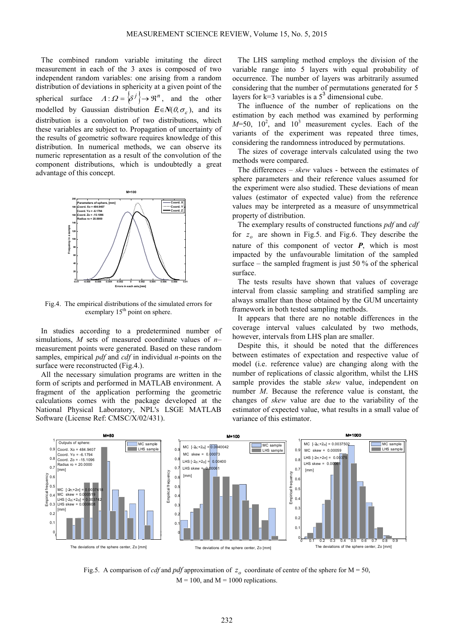The combined random variable imitating the direct measurement in each of the 3 axes is composed of two independent random variables: one arising from a random distribution of deviations in sphericity at a given point of the spherical surface  $A : \Omega = \{\delta^j\} \rightarrow \Re^n$ , and the other modelled by Gaussian distribution  $E \in N(0, \sigma_{\varepsilon})$ , and its distribution is a convolution of two distributions, which these variables are subject to. Propagation of uncertainty of the results of geometric software requires knowledge of this distribution. In numerical methods, we can observe its numeric representation as a result of the convolution of the component distributions, which is undoubtedly a great advantage of this concept.



Fig.4. The empirical distributions of the simulated errors for exemplary 15<sup>th</sup> point on sphere.

In studies according to a predetermined number of simulations, *M* sets of measured coordinate values of *n*– measurement points were generated. Based on these random samples, empirical *pdf* and *cdf* in individual *n*-points on the surface were reconstructed (Fig.4.).

All the necessary simulation programs are written in the form of scripts and performed in MATLAB environment. A fragment of the application performing the geometric calculations comes with the package developed at the National Physical Laboratory, NPL's LSGE MATLAB Software (License Ref: CMSC/X/02/431).

The LHS sampling method employs the division of the variable range into 5 layers with equal probability of occurrence. The number of layers was arbitrarily assumed considering that the number of permutations generated for 5 layers for  $k=3$  variables is a  $5<sup>3</sup>$  dimensional cube.

The influence of the number of replications on the estimation by each method was examined by performing  $M=50$ ,  $10^2$ , and  $10^3$  measurement cycles. Each of the variants of the experiment was repeated three times, considering the randomness introduced by permutations.

The sizes of coverage intervals calculated using the two methods were compared.

The differences – *skew* values - between the estimates of sphere parameters and their reference values assumed for the experiment were also studied. These deviations of mean values (estimator of expected value) from the reference values may be interpreted as a measure of unsymmetrical property of distribution.

The exemplary results of constructed functions *pdf* and *cdf* for  $z_o$  are shown in Fig.5. and Fig.6. They describe the nature of this component of vector *P*, which is most impacted by the unfavourable limitation of the sampled surface *–* the sampled fragment is just 50 % of the spherical surface.

The tests results have shown that values of coverage interval from classic sampling and stratified sampling are always smaller than those obtained by the GUM uncertainty framework in both tested sampling methods.

It appears that there are no notable differences in the coverage interval values calculated by two methods, however, intervals from LHS plan are smaller.

Despite this, it should be noted that the differences between estimates of expectation and respective value of model (i.e. reference value) are changing along with the number of replications of classic algorithm, whilst the LHS sample provides the stable *skew* value, independent on number *M*. Because the reference value is constant, the changes of *skew* value are due to the variability of the estimator of expected value, what results in a small value of variance of this estimator.



Fig.5. A comparison of *cdf* and *pdf* approximation of  $z_o$  coordinate of centre of the sphere for M = 50,  $M = 100$ , and  $M = 1000$  replications.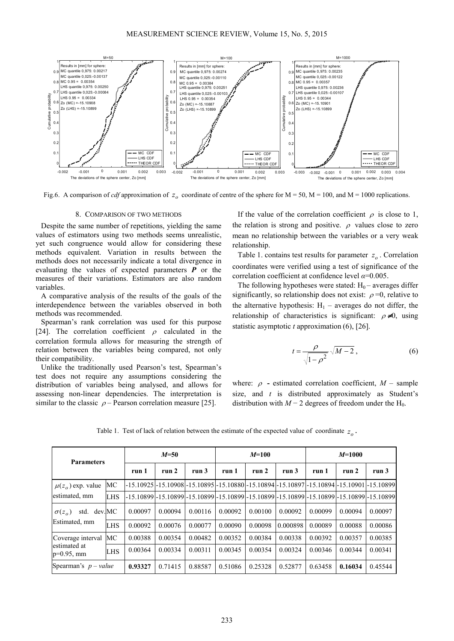

Fig.6. A comparison of *cdf* approximation of  $z_o$  coordinate of centre of the sphere for M = 50, M = 100, and M = 1000 replications.

## 8. COMPARISON OF TWO METHODS

Despite the same number of repetitions, yielding the same values of estimators using two methods seems unrealistic, yet such congruence would allow for considering these methods equivalent. Variation in results between the methods does not necessarily indicate a total divergence in evaluating the values of expected parameters *P* or the measures of their variations. Estimators are also random variables.

A comparative analysis of the results of the goals of the interdependence between the variables observed in both methods was recommended.

Spearman's rank correlation was used for this purpose [24]. The correlation coefficient  $\rho$  calculated in the correlation formula allows for measuring the strength of relation between the variables being compared, not only their compatibility.

Unlike the traditionally used Pearson's test, Spearman's test does not require any assumptions considering the distribution of variables being analysed, and allows for assessing non-linear dependencies. The interpretation is similar to the classic  $\rho$  – Pearson correlation measure [25].

If the value of the correlation coefficient  $\rho$  is close to 1, the relation is strong and positive.  $\rho$  values close to zero mean no relationship between the variables or a very weak relationship.

Table 1. contains test results for parameter  $z_o$ . Correlation coordinates were verified using a test of significance of the correlation coefficient at confidence level *α*=0.005.

The following hypotheses were stated:  $H_0$  – averages differ significantly, so relationship does not exist:  $\rho = 0$ , relative to the alternative hypothesis:  $H_1$  – averages do not differ, the relationship of characteristics is significant:  $\rho \neq 0$ , using statistic asymptotic *t* approximation (6), [26].

$$
t = \frac{\rho}{\sqrt{1 - \rho^2}} \sqrt{M - 2} , \qquad (6)
$$

where:  $\rho$  - estimated correlation coefficient,  $M$  – sample size, and *t* is distributed approximately as Student's distribution with  $M - 2$  degrees of freedom under the H<sub>0</sub>.

Table 1. Test of lack of relation between the estimate of the expected value of coordinate  $z_o$ .

| <b>Parameters</b>                                  |            | $M=50$  |                                                                                                             |         | $M = 100$ |                  |          | $M = 1000$ |                  |                  |
|----------------------------------------------------|------------|---------|-------------------------------------------------------------------------------------------------------------|---------|-----------|------------------|----------|------------|------------------|------------------|
|                                                    |            | run 1   | run <sub>2</sub>                                                                                            | run $3$ | run 1     | run <sub>2</sub> | run $3$  | run 1      | run <sub>2</sub> | run <sub>3</sub> |
| $\mu(z_o)$ exp. value<br>estimated, mm             | MC         |         | $-15.10925$ $-15.10908$ $-15.10895$ $-15.10880$ $-15.10894$ $-15.10897$ $-15.10894$ $-15.10901$ $-15.10899$ |         |           |                  |          |            |                  |                  |
|                                                    | <b>LHS</b> |         | -15.10899 -15.10899 -15.10899 -15.10899 -15.10899 -15.10899 -15.10899 -15.10899 -15.10899 -15.10899         |         |           |                  |          |            |                  |                  |
| std.<br>$\sigma(z_{o})$<br>Estimated, mm           | dev.MC     | 0.00097 | 0.00094                                                                                                     | 0.00116 | 0.00092   | 0.00100          | 0.00092  | 0.00099    | 0.00094          | 0.00097          |
|                                                    | <b>LHS</b> | 0.00092 | 0.00076                                                                                                     | 0.00077 | 0.00090   | 0.00098          | 0.000898 | 0.00089    | 0.00088          | 0.00086          |
| Coverage interval<br>estimated at<br>$p=0.95$ , mm | MC         | 0.00388 | 0.00354                                                                                                     | 0.00482 | 0.00352   | 0.00384          | 0.00338  | 0.00392    | 0.00357          | 0.00385          |
|                                                    | <b>LHS</b> | 0.00364 | 0.00334                                                                                                     | 0.00311 | 0.00345   | 0.00354          | 0.00324  | 0.00346    | 0.00344          | 0.00341          |
| Spearman's $p-value$                               |            | 0.93327 | 0.71415                                                                                                     | 0.88587 | 0.51086   | 0.25328          | 0.52877  | 0.63458    | 0.16034          | 0.45544          |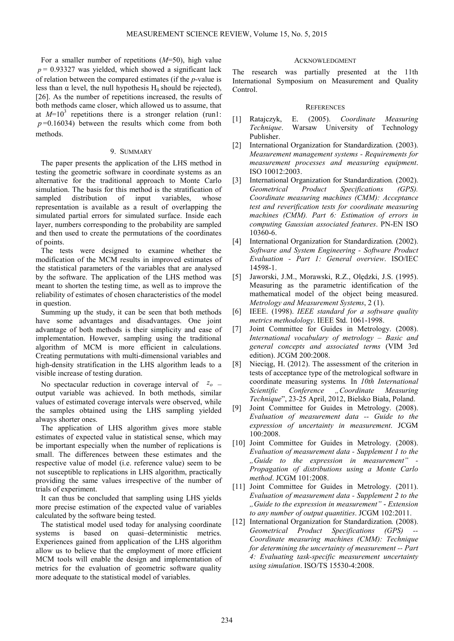For a smaller number of repetitions (*M*=50), high value  $p = 0.93327$  was yielded, which showed a significant lack of relation between the compared estimates (if the *p*-value is less than  $\alpha$  level, the null hypothesis H<sub>0</sub> should be rejected), [26]. As the number of repetitions increased, the results of both methods came closer, which allowed us to assume, that at  $M=10^3$  repetitions there is a stronger relation (run1:  $p=0.16034$ ) between the results which come from both methods.

### 9. SUMMARY

The paper presents the application of the LHS method in testing the geometric software in coordinate systems as an alternative for the traditional approach to Monte Carlo simulation. The basis for this method is the stratification of sampled distribution of input variables, whose representation is available as a result of overlapping the simulated partial errors for simulated surface. Inside each layer, numbers corresponding to the probability are sampled and then used to create the permutations of the coordinates of points.

The tests were designed to examine whether the modification of the MCM results in improved estimates of the statistical parameters of the variables that are analysed by the software. The application of the LHS method was meant to shorten the testing time, as well as to improve the reliability of estimates of chosen characteristics of the model in question.

Summing up the study, it can be seen that both methods have some advantages and disadvantages. One joint advantage of both methods is their simplicity and ease of implementation. However, sampling using the traditional algorithm of MCM is more efficient in calculations. Creating permutations with multi-dimensional variables and high-density stratification in the LHS algorithm leads to a visible increase of testing duration.

No spectacular reduction in coverage interval of  $z_0$  – output variable was achieved. In both methods, similar values of estimated coverage intervals were observed, while the samples obtained using the LHS sampling yielded always shorter ones.

The application of LHS algorithm gives more stable estimates of expected value in statistical sense, which may be important especially when the number of replications is small. The differences between these estimates and the respective value of model (i.e. reference value) seem to be not susceptible to replications in LHS algorithm, practically providing the same values irrespective of the number of trials of experiment.

It can thus be concluded that sampling using LHS yields more precise estimation of the expected value of variables calculated by the software being tested.

The statistical model used today for analysing coordinate systems is based on quasi–deterministic metrics. Experiences gained from application of the LHS algorithm allow us to believe that the employment of more efficient MCM tools will enable the design and implementation of metrics for the evaluation of geometric software quality more adequate to the statistical model of variables.

## ACKNOWLEDGMENT

The research was partially presented at the 11th International Symposium on Measurement and Quality **Control** 

## **REFERENCES**

- [1] Ratajczyk, E. (2005). *Coordinate Measuring Technique*. Warsaw University of Technology Publisher.
- [2] International Organization for Standardization*.* (2003). *Measurement management systems - Requirements for measurement processes and measuring equipment*. ISO 10012:2003.
- [3] International Organization for Standardization*.* (2002). *Product Specifications (GPS). Coordinate measuring machines (CMM): Acceptance test and reverification tests for coordinate measuring machines (CMM). Part 6: Estimation of errors in computing Gaussian associated features*. PN-EN ISO 10360-6.
- [4] International Organization for Standardization*.* (2002). *Software and System Engineering - Software Product Evaluation - Part 1: General overview*. ISO/IEC 14598-1.
- [5] Jaworski, J.M., Morawski, R.Z., Olędzki, J.S. (1995). Measuring as the parametric identification of the mathematical model of the object being measured. *Metrology and Measurement Systems*, 2 (1).
- [6] IEEE. (1998). *IEEE standard for a software quality metrics methodology*. IEEE Std. 1061-1998.
- [7] Joint Committee for Guides in Metrology. (2008). *International vocabulary of metrology – Basic and general concepts and associated terms* (VIM 3rd edition). JCGM 200:2008.
- [8] Nieciąg, H. (2012). The assessment of the criterion in tests of acceptance type of the metrological software in coordinate measuring systems*.* In *10th International Scientific Conference "Coordinate Measuring Technique*", 23-25 April, 2012, Bielsko Biała, Poland.
- [9] Joint Committee for Guides in Metrology. (2008). *Evaluation of measurement data -- Guide to the expression of uncertainty in measurement*. JCGM 100:2008.
- [10] Joint Committee for Guides in Metrology. (2008). *Evaluation of measurement data - Supplement 1 to the "Guide to the expression in measurement" - Propagation of distributions using a Monte Carlo method*. JCGM 101:2008.
- [11] Joint Committee for Guides in Metrology. (2011). *Evaluation of measurement data - Supplement 2 to the "Guide to the expression in measurement"* - *Extension to any number of output quantities*. JCGM 102:2011.
- [12] International Organization for Standardization*.* (2008). Geometrical Product Specifications (GPS) *Coordinate measuring machines (CMM): Technique for determining the uncertainty of measurement -- Part 4: Evaluating task-specific measurement uncertainty using simulation*. ISO/TS 15530-4:2008.